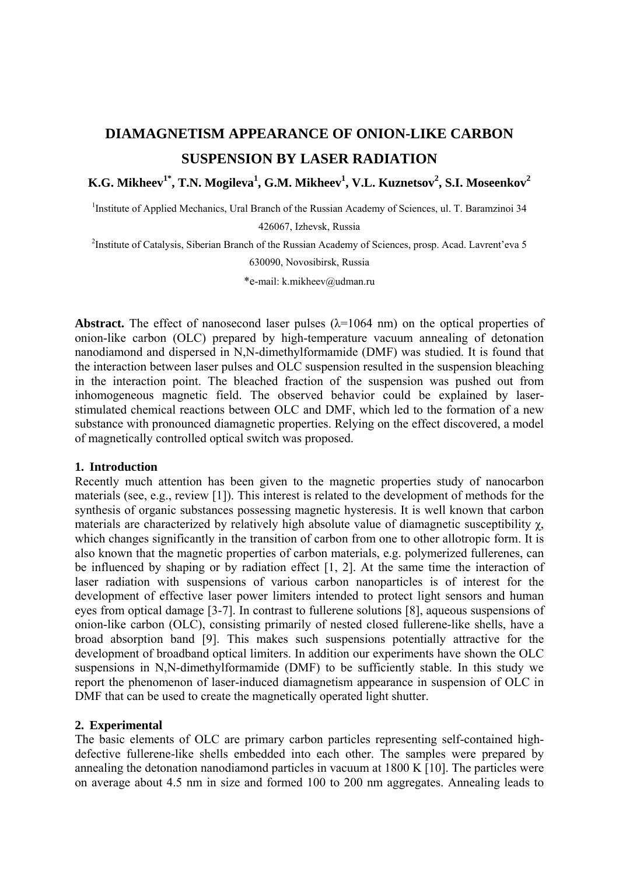# **DIAMAGNETISM APPEARANCE OF ONION-LIKE CARBON SUSPENSION BY LASER RADIATION**

 $\mathbf{K.G.}\text{Mikheev}^{1^{\ast}}, \text{T.N.}\text{ Mogileva}^{1}, \text{G.M.}\text{Mikheev}^{1}, \text{V.L.}\text{Kuznetsov}^{2}, \text{S.I.}\text{Moseenkov}^{2}$ 

<sup>1</sup>Institute of Applied Mechanics, Ural Branch of the Russian Academy of Sciences, ul. T. Baramzinoi 34

426067, Izhevsk, Russia

<sup>2</sup>Institute of Catalysis, Siberian Branch of the Russian Academy of Sciences, prosp. Acad. Lavrent'eva 5

630090, Novosibirsk, Russia

\*e-mail: k.mikheev@udman.ru

**Abstract.** The effect of nanosecond laser pulses  $(\lambda=1064 \text{ nm})$  on the optical properties of onion-like carbon (OLC) prepared by high-temperature vacuum annealing of detonation nanodiamond and dispersed in N,N-dimethylformamide (DMF) was studied. It is found that the interaction between laser pulses and OLC suspension resulted in the suspension bleaching in the interaction point. The bleached fraction of the suspension was pushed out from inhomogeneous magnetic field. The observed behavior could be explained by laserstimulated chemical reactions between OLC and DMF, which led to the formation of a new substance with pronounced diamagnetic properties. Relying on the effect discovered, a model of magnetically controlled optical switch was proposed.

#### **1. Introduction**

Recently much attention has been given to the magnetic properties study of nanocarbon materials (see, e.g., review [1]). This interest is related to the development of methods for the synthesis of organic substances possessing magnetic hysteresis. It is well known that carbon materials are characterized by relatively high absolute value of diamagnetic susceptibility  $\chi$ , which changes significantly in the transition of carbon from one to other allotropic form. It is also known that the magnetic properties of carbon materials, e.g. polymerized fullerenes, can be influenced by shaping or by radiation effect [1, 2]. At the same time the interaction of laser radiation with suspensions of various carbon nanoparticles is of interest for the development of effective laser power limiters intended to protect light sensors and human eyes from optical damage [3-7]. In contrast to fullerene solutions [8], aqueous suspensions of onion-like carbon (OLC), consisting primarily of nested closed fullerene-like shells, have a broad absorption band [9]. This makes such suspensions potentially attractive for the development of broadband optical limiters. In addition our experiments have shown the OLC suspensions in N,N-dimethylformamide (DMF) to be sufficiently stable. In this study we report the phenomenon of laser-induced diamagnetism appearance in suspension of OLC in DMF that can be used to create the magnetically operated light shutter.

## **2. Experimental**

The basic elements of OLC are primary carbon particles representing self-contained highdefective fullerene-like shells embedded into each other. The samples were prepared by annealing the detonation nanodiamond particles in vacuum at 1800 K [10]. The particles were on average about 4.5 nm in size and formed 100 to 200 nm aggregates. Annealing leads to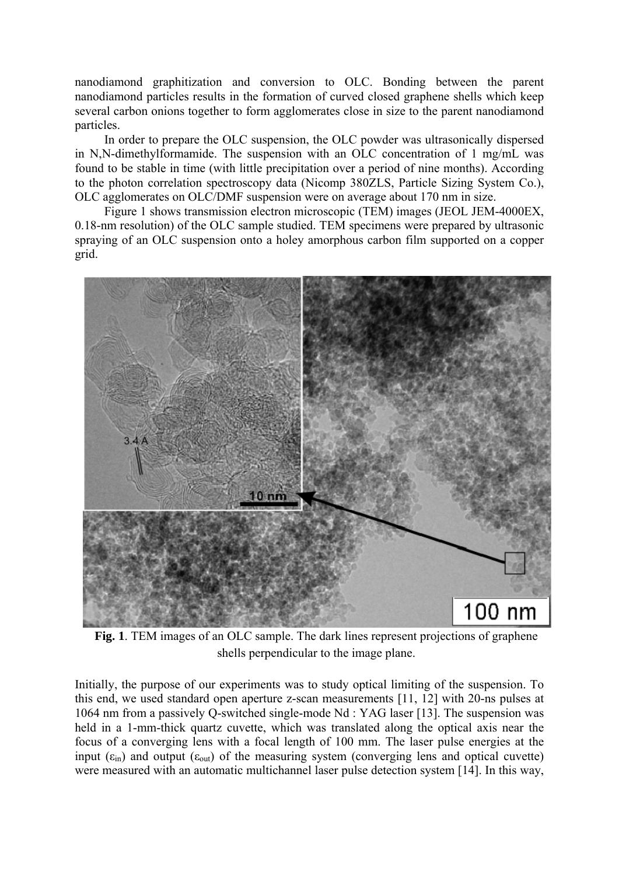nanodiamond graphitization and conversion to OLC. Bonding between the parent nanodiamond particles results in the formation of curved closed graphene shells which keep several carbon onions together to form agglomerates close in size to the parent nanodiamond particles.

In order to prepare the OLC suspension, the OLC powder was ultrasonically dispersed in N,N-dimethylformamide. The suspension with an OLC concentration of 1 mg/mL was found to be stable in time (with little precipitation over a period of nine months). According to the photon correlation spectroscopy data (Nicomp 380ZLS, Particle Sizing System Co.), OLC agglomerates on OLC/DMF suspension were on average about 170 nm in size.

Figure 1 shows transmission electron microscopic (TEM) images (JEOL JEM-4000EX, 0.18-nm resolution) of the OLC sample studied. TEM specimens were prepared by ultrasonic spraying of an OLC suspension onto a holey amorphous carbon film supported on a copper grid.



**Fig. 1**. TEM images of an OLC sample. The dark lines represent projections of graphene shells perpendicular to the image plane.

Initially, the purpose of our experiments was to study optical limiting of the suspension. To this end, we used standard open aperture z-scan measurements [11, 12] with 20-ns pulses at 1064 nm from a passively Q-switched single-mode Nd : YAG laser [13]. The suspension was held in a 1-mm-thick quartz cuvette, which was translated along the optical axis near the focus of a converging lens with a focal length of 100 mm. The laser pulse energies at the input  $(\epsilon_{in})$  and output  $(\epsilon_{out})$  of the measuring system (converging lens and optical cuvette) were measured with an automatic multichannel laser pulse detection system [14]. In this way,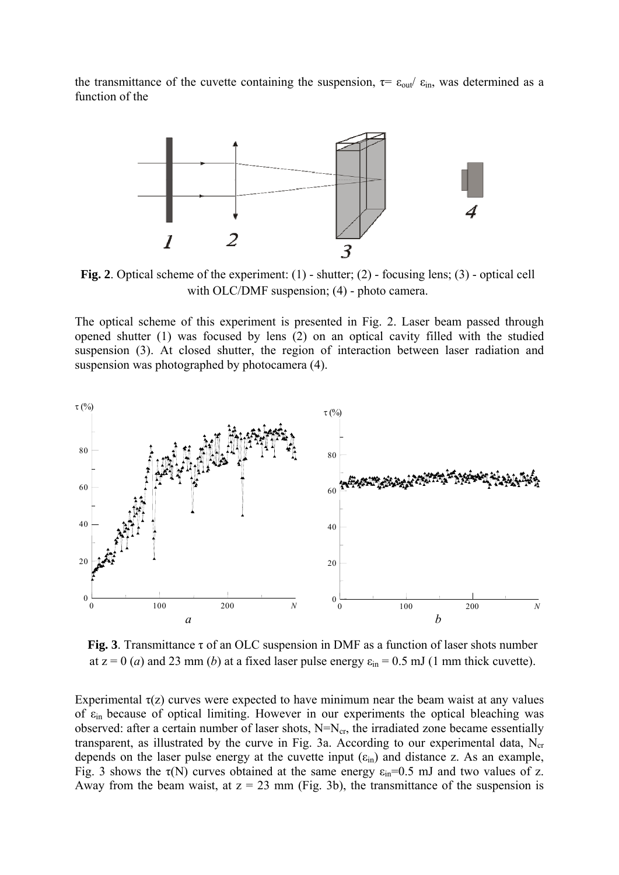the transmittance of the cuvette containing the suspension,  $\tau = \varepsilon_{\text{out}}/\varepsilon_{\text{in}}$ , was determined as a function of the



**Fig. 2**. Optical scheme of the experiment: (1) - shutter; (2) - focusing lens; (3) - optical cell with OLC/DMF suspension; (4) - photo camera.

The optical scheme of this experiment is presented in Fig. 2. Laser beam passed through opened shutter (1) was focused by lens (2) on an optical cavity filled with the studied suspension (3). At closed shutter, the region of interaction between laser radiation and suspension was photographed by photocamera (4).



**Fig. 3**. Transmittance τ of an OLC suspension in DMF as a function of laser shots number at  $z = 0$  (*a*) and 23 mm (*b*) at a fixed laser pulse energy  $\varepsilon_{\text{in}} = 0.5$  mJ (1 mm thick cuvette).

Experimental  $\tau(z)$  curves were expected to have minimum near the beam waist at any values of  $\varepsilon$ <sub>in</sub> because of optical limiting. However in our experiments the optical bleaching was observed: after a certain number of laser shots,  $N=N_{cr}$ , the irradiated zone became essentially transparent, as illustrated by the curve in Fig. 3a. According to our experimental data,  $N_{cr}$ depends on the laser pulse energy at the cuvette input  $(\epsilon_{in})$  and distance z. As an example, Fig. 3 shows the  $\tau(N)$  curves obtained at the same energy  $\varepsilon_{in}=0.5$  mJ and two values of z. Away from the beam waist, at  $z = 23$  mm (Fig. 3b), the transmittance of the suspension is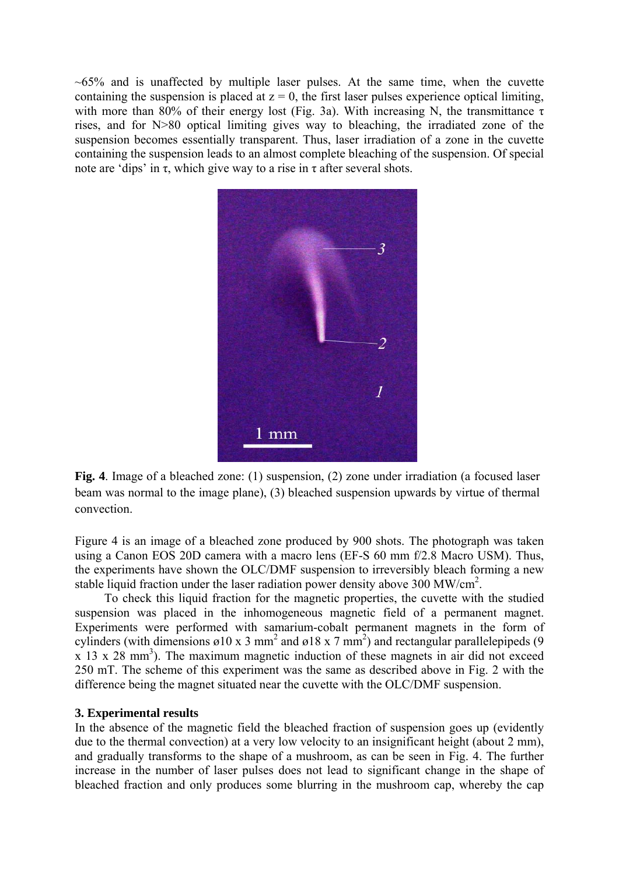$~65\%$  and is unaffected by multiple laser pulses. At the same time, when the cuvette containing the suspension is placed at  $z = 0$ , the first laser pulses experience optical limiting, with more than 80% of their energy lost (Fig. 3a). With increasing N, the transmittance  $\tau$ rises, and for N>80 optical limiting gives way to bleaching, the irradiated zone of the suspension becomes essentially transparent. Thus, laser irradiation of a zone in the cuvette containing the suspension leads to an almost complete bleaching of the suspension. Of special note are 'dips' in τ, which give way to a rise in τ after several shots.



**Fig. 4**. Image of a bleached zone: (1) suspension, (2) zone under irradiation (a focused laser beam was normal to the image plane), (3) bleached suspension upwards by virtue of thermal convection.

Figure 4 is an image of a bleached zone produced by 900 shots. The photograph was taken using a Canon EOS 20D camera with a macro lens (EF-S 60 mm f/2.8 Macro USM). Thus, the experiments have shown the OLC/DMF suspension to irreversibly bleach forming a new stable liquid fraction under the laser radiation power density above  $300 \text{ MW/cm}^2$ .

To check this liquid fraction for the magnetic properties, the cuvette with the studied suspension was placed in the inhomogeneous magnetic field of a permanent magnet. Experiments were performed with samarium-cobalt permanent magnets in the form of cylinders (with dimensions  $\varnothing$ 10 x 3 mm<sup>2</sup> and  $\varnothing$ 18 x 7 mm<sup>2</sup>) and rectangular parallelepipeds (9  $x$  13 x 28 mm<sup>3</sup>). The maximum magnetic induction of these magnets in air did not exceed 250 mT. The scheme of this experiment was the same as described above in Fig. 2 with the difference being the magnet situated near the cuvette with the OLC/DMF suspension.

#### **3. Experimental results**

In the absence of the magnetic field the bleached fraction of suspension goes up (evidently due to the thermal convection) at a very low velocity to an insignificant height (about 2 mm), and gradually transforms to the shape of a mushroom, as can be seen in Fig. 4. The further increase in the number of laser pulses does not lead to significant change in the shape of bleached fraction and only produces some blurring in the mushroom cap, whereby the cap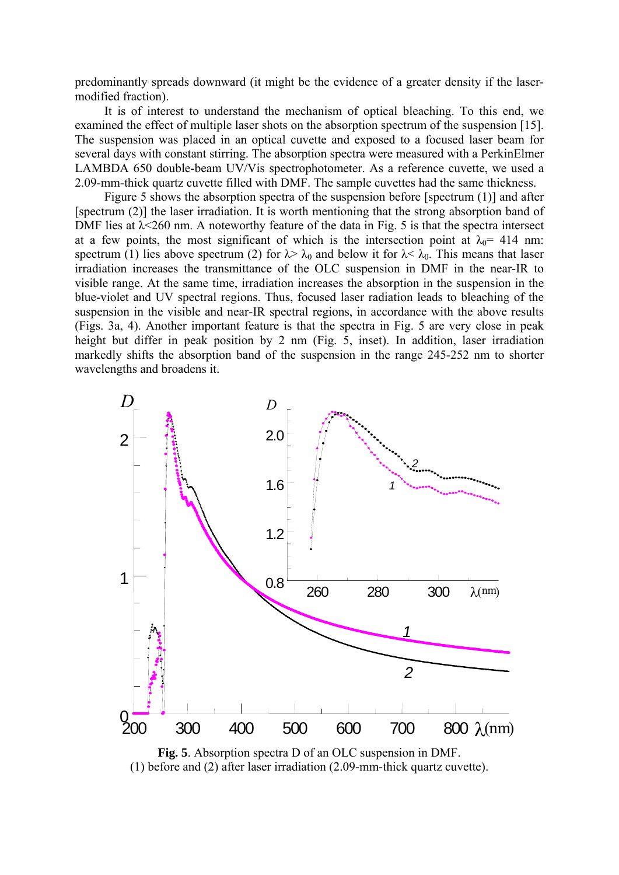predominantly spreads downward (it might be the evidence of a greater density if the lasermodified fraction).

It is of interest to understand the mechanism of optical bleaching. To this end, we examined the effect of multiple laser shots on the absorption spectrum of the suspension [15]. The suspension was placed in an optical cuvette and exposed to a focused laser beam for several days with constant stirring. The absorption spectra were measured with a PerkinElmer LAMBDA 650 double-beam UV/Vis spectrophotometer. As a reference cuvette, we used a 2.09-mm-thick quartz cuvette filled with DMF. The sample cuvettes had the same thickness.

Figure 5 shows the absorption spectra of the suspension before [spectrum (1)] and after [spectrum (2)] the laser irradiation. It is worth mentioning that the strong absorption band of DMF lies at  $\lambda$  <260 nm. A noteworthy feature of the data in Fig. 5 is that the spectra intersect at a few points, the most significant of which is the intersection point at  $\lambda_0$  = 414 nm: spectrum (1) lies above spectrum (2) for  $\lambda > \lambda_0$  and below it for  $\lambda < \lambda_0$ . This means that laser irradiation increases the transmittance of the OLC suspension in DMF in the near-IR to visible range. At the same time, irradiation increases the absorption in the suspension in the blue-violet and UV spectral regions. Thus, focused laser radiation leads to bleaching of the suspension in the visible and near-IR spectral regions, in accordance with the above results (Figs. 3a, 4). Another important feature is that the spectra in Fig. 5 are very close in peak height but differ in peak position by 2 nm (Fig. 5, inset). In addition, laser irradiation markedly shifts the absorption band of the suspension in the range 245-252 nm to shorter wavelengths and broadens it.



**Fig. 5**. Absorption spectra D of an OLC suspension in DMF. (1) before and (2) after laser irradiation (2.09-mm-thick quartz cuvette).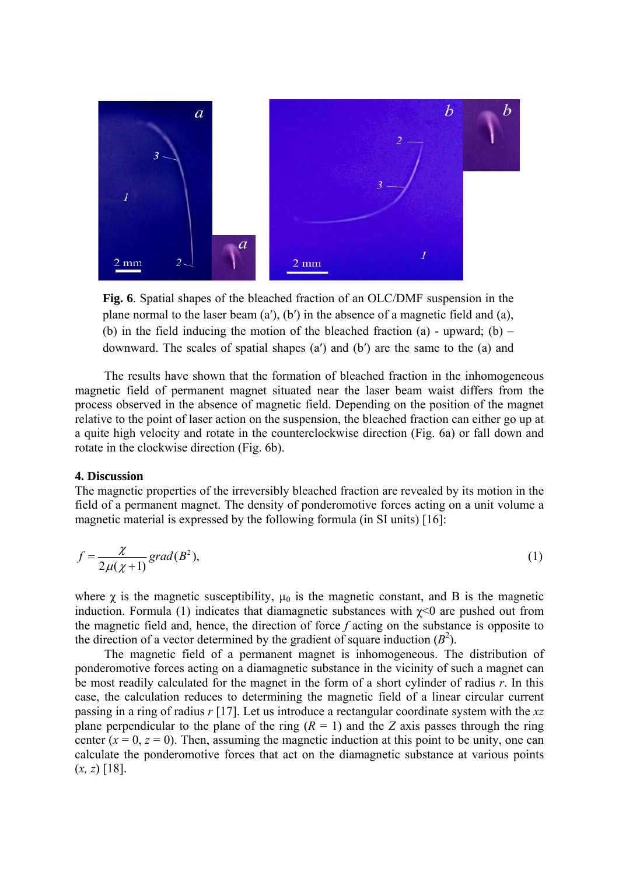

Fig. 6. Spatial shapes of the bleached fraction of an OLC/DMF suspension in the plane normal to the laser beam (a′), (b′) in the absence of a magnetic field and (a), (b) in the field inducing the motion of the bleached fraction (a) - upward; (b) – downward. The scales of spatial shapes (a′) and (b′) are the same to the (a) and

The results have shown that the formation of bleached fraction in the inhomogeneous magnetic field of permanent magnet situated near the laser beam waist differs from the process observed in the absence of magnetic field. Depending on the position of the magnet relative to the point of laser action on the suspension, the bleached fraction can either go up at a quite high velocity and rotate in the counterclockwise direction (Fig. 6a) or fall down and rotate in the clockwise direction (Fig. 6b).

### **4. Discussion**

The magnetic properties of the irreversibly bleached fraction are revealed by its motion in the field of a permanent magnet. The density of ponderomotive forces acting on a unit volume a magnetic material is expressed by the following formula (in SI units) [16]:

$$
f = \frac{\chi}{2\mu(\chi + 1)} \text{grad}(B^2),\tag{1}
$$

where  $\gamma$  is the magnetic susceptibility,  $\mu_0$  is the magnetic constant, and B is the magnetic induction. Formula (1) indicates that diamagnetic substances with  $\gamma$ <0 are pushed out from the magnetic field and, hence, the direction of force *f* acting on the substance is opposite to the direction of a vector determined by the gradient of square induction  $(B^2)$ .

The magnetic field of a permanent magnet is inhomogeneous. The distribution of ponderomotive forces acting on a diamagnetic substance in the vicinity of such a magnet can be most readily calculated for the magnet in the form of a short cylinder of radius *r*. In this case, the calculation reduces to determining the magnetic field of a linear circular current passing in a ring of radius *r* [17]. Let us introduce a rectangular coordinate system with the *xz* plane perpendicular to the plane of the ring  $(R = 1)$  and the *Z* axis passes through the ring center  $(x = 0, z = 0)$ . Then, assuming the magnetic induction at this point to be unity, one can calculate the ponderomotive forces that act on the diamagnetic substance at various points (*x, z*) [18].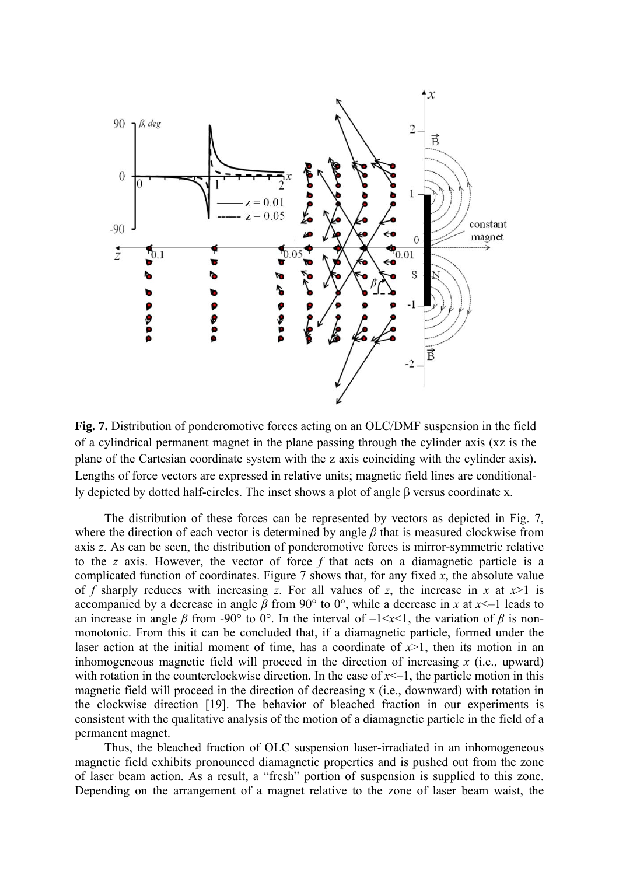

**Fig. 7.** Distribution of ponderomotive forces acting on an OLC/DMF suspension in the field of a cylindrical permanent magnet in the plane passing through the cylinder axis (xz is the plane of the Cartesian coordinate system with the z axis coinciding with the cylinder axis). Lengths of force vectors are expressed in relative units; magnetic field lines are conditionally depicted by dotted half-circles. The inset shows a plot of angle β versus coordinate x.

The distribution of these forces can be represented by vectors as depicted in Fig. 7, where the direction of each vector is determined by angle *β* that is measured clockwise from axis *z*. As can be seen, the distribution of ponderomotive forces is mirror-symmetric relative to the *z* axis. However, the vector of force *f* that acts on a diamagnetic particle is a complicated function of coordinates. Figure 7 shows that, for any fixed *x*, the absolute value of *f* sharply reduces with increasing *z*. For all values of *z*, the increase in *x* at  $x > 1$  is accompanied by a decrease in angle  $\beta$  from 90° to 0°, while a decrease in *x* at *x*<-1 leads to an increase in angle  $\beta$  from -90° to 0°. In the interval of  $-\frac{1}{x}$ , the variation of  $\beta$  is nonmonotonic. From this it can be concluded that, if a diamagnetic particle, formed under the laser action at the initial moment of time, has a coordinate of  $x>1$ , then its motion in an inhomogeneous magnetic field will proceed in the direction of increasing *x* (i.e., upward) with rotation in the counterclockwise direction. In the case of  $x<1$ , the particle motion in this magnetic field will proceed in the direction of decreasing x (i.e., downward) with rotation in the clockwise direction [19]. The behavior of bleached fraction in our experiments is consistent with the qualitative analysis of the motion of a diamagnetic particle in the field of a permanent magnet.

Thus, the bleached fraction of OLC suspension laser-irradiated in an inhomogeneous magnetic field exhibits pronounced diamagnetic properties and is pushed out from the zone of laser beam action. As a result, a "fresh" portion of suspension is supplied to this zone. Depending on the arrangement of a magnet relative to the zone of laser beam waist, the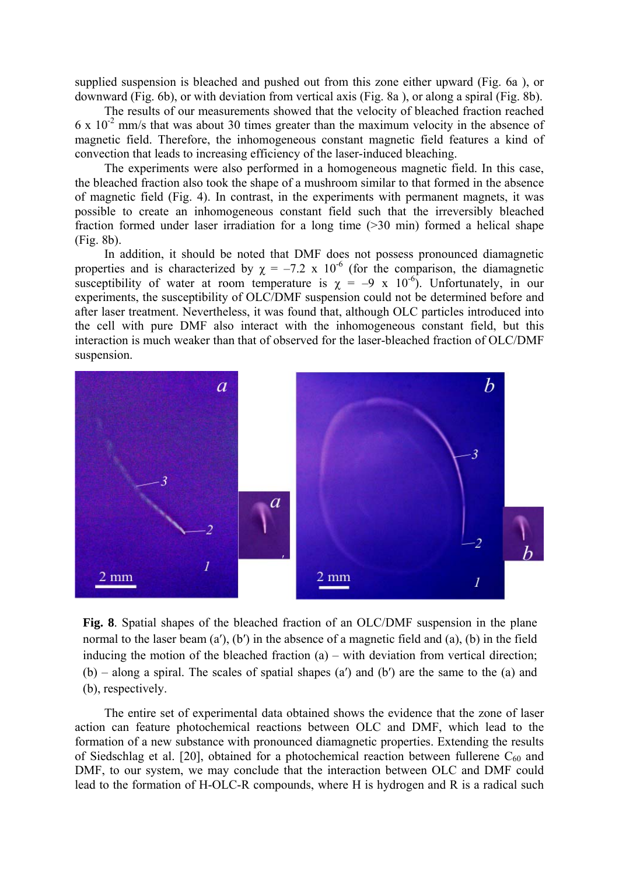supplied suspension is bleached and pushed out from this zone either upward (Fig. 6a ), or downward (Fig. 6b), or with deviation from vertical axis (Fig. 8a ), or along a spiral (Fig. 8b).

The results of our measurements showed that the velocity of bleached fraction reached  $6 \times 10^{-2}$  mm/s that was about 30 times greater than the maximum velocity in the absence of magnetic field. Therefore, the inhomogeneous constant magnetic field features a kind of convection that leads to increasing efficiency of the laser-induced bleaching.

The experiments were also performed in a homogeneous magnetic field. In this case, the bleached fraction also took the shape of a mushroom similar to that formed in the absence of magnetic field (Fig. 4). In contrast, in the experiments with permanent magnets, it was possible to create an inhomogeneous constant field such that the irreversibly bleached fraction formed under laser irradiation for a long time (>30 min) formed a helical shape (Fig. 8b).

In addition, it should be noted that DMF does not possess pronounced diamagnetic properties and is characterized by  $\chi = -7.2 \times 10^{-6}$  (for the comparison, the diamagnetic susceptibility of water at room temperature is  $\chi = -9 \times 10^{-6}$ . Unfortunately, in our experiments, the susceptibility of OLC/DMF suspension could not be determined before and after laser treatment. Nevertheless, it was found that, although OLC particles introduced into the cell with pure DMF also interact with the inhomogeneous constant field, but this interaction is much weaker than that of observed for the laser-bleached fraction of OLC/DMF suspension.



**Fig. 8**. Spatial shapes of the bleached fraction of an OLC/DMF suspension in the plane normal to the laser beam  $(a')$ ,  $(b')$  in the absence of a magnetic field and  $(a)$ ,  $(b)$  in the field inducing the motion of the bleached fraction  $(a)$  – with deviation from vertical direction;  $(b)$  – along a spiral. The scales of spatial shapes (a') and (b') are the same to the (a) and (b), respectively.

The entire set of experimental data obtained shows the evidence that the zone of laser action can feature photochemical reactions between OLC and DMF, which lead to the formation of a new substance with pronounced diamagnetic properties. Extending the results of Siedschlag et al. [20], obtained for a photochemical reaction between fullerene  $C_{60}$  and DMF, to our system, we may conclude that the interaction between OLC and DMF could lead to the formation of H-OLC-R compounds, where H is hydrogen and R is a radical such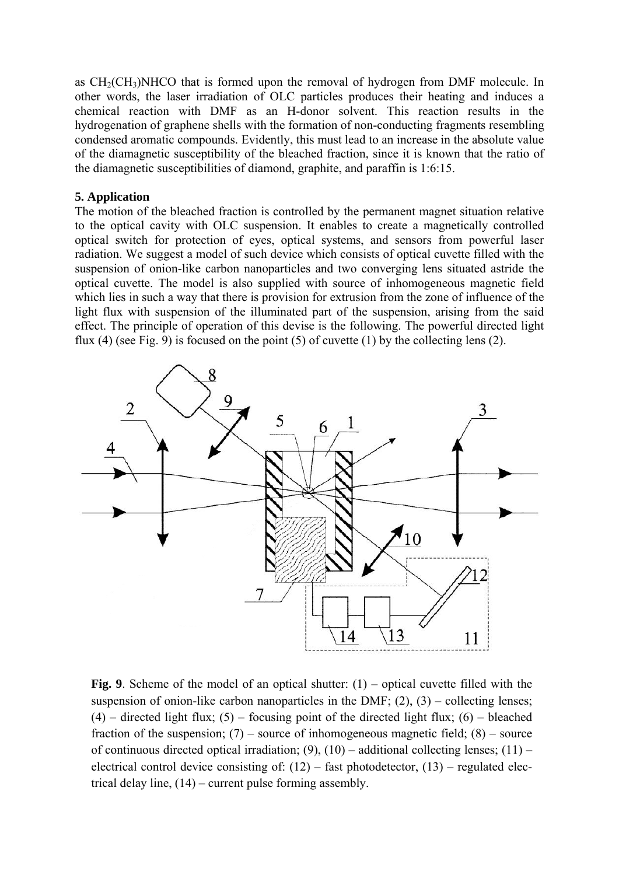as  $CH<sub>2</sub>(CH<sub>3</sub>)NHCO$  that is formed upon the removal of hydrogen from DMF molecule. In other words, the laser irradiation of OLC particles produces their heating and induces a chemical reaction with DMF as an H-donor solvent. This reaction results in the hydrogenation of graphene shells with the formation of non-conducting fragments resembling condensed aromatic compounds. Evidently, this must lead to an increase in the absolute value of the diamagnetic susceptibility of the bleached fraction, since it is known that the ratio of the diamagnetic susceptibilities of diamond, graphite, and paraffin is 1:6:15.

# **5. Application**

The motion of the bleached fraction is controlled by the permanent magnet situation relative to the optical cavity with OLC suspension. It enables to create a magnetically controlled optical switch for protection of eyes, optical systems, and sensors from powerful laser radiation. We suggest a model of such device which consists of optical cuvette filled with the suspension of onion-like carbon nanoparticles and two converging lens situated astride the optical cuvette. The model is also supplied with source of inhomogeneous magnetic field which lies in such a way that there is provision for extrusion from the zone of influence of the light flux with suspension of the illuminated part of the suspension, arising from the said effect. The principle of operation of this devise is the following. The powerful directed light flux (4) (see Fig. 9) is focused on the point (5) of cuvette (1) by the collecting lens (2).



Fig. 9. Scheme of the model of an optical shutter: (1) – optical cuvette filled with the suspension of onion-like carbon nanoparticles in the DMF;  $(2)$ ,  $(3)$  – collecting lenses;  $(4)$  – directed light flux;  $(5)$  – focusing point of the directed light flux;  $(6)$  – bleached fraction of the suspension;  $(7)$  – source of inhomogeneous magnetic field;  $(8)$  – source of continuous directed optical irradiation; (9), (10) – additional collecting lenses; (11) – electrical control device consisting of:  $(12)$  – fast photodetector,  $(13)$  – regulated electrical delay line, (14) – current pulse forming assembly.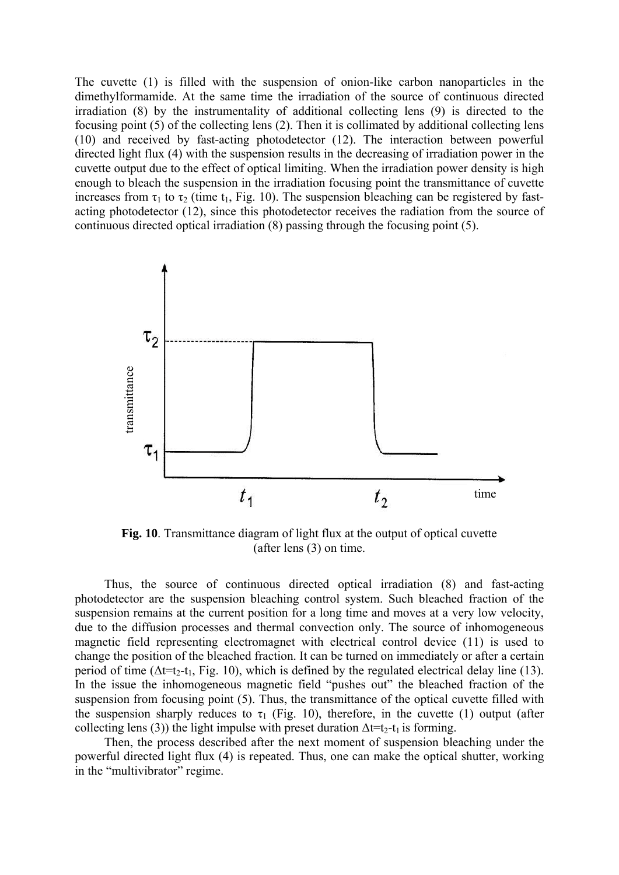The cuvette (1) is filled with the suspension of onion-like carbon nanoparticles in the dimethylformamide. At the same time the irradiation of the source of continuous directed irradiation (8) by the instrumentality of additional collecting lens (9) is directed to the focusing point (5) of the collecting lens (2). Then it is collimated by additional collecting lens (10) and received by fast-acting photodetector (12). The interaction between powerful directed light flux (4) with the suspension results in the decreasing of irradiation power in the cuvette output due to the effect of optical limiting. When the irradiation power density is high enough to bleach the suspension in the irradiation focusing point the transmittance of cuvette increases from  $\tau_1$  to  $\tau_2$  (time t<sub>1</sub>, Fig. 10). The suspension bleaching can be registered by fastacting photodetector (12), since this photodetector receives the radiation from the source of continuous directed optical irradiation (8) passing through the focusing point (5).



**Fig. 10**. Transmittance diagram of light flux at the output of optical cuvette (after lens (3) on time.

Thus, the source of continuous directed optical irradiation (8) and fast-acting photodetector are the suspension bleaching control system. Such bleached fraction of the suspension remains at the current position for a long time and moves at a very low velocity, due to the diffusion processes and thermal convection only. The source of inhomogeneous magnetic field representing electromagnet with electrical control device (11) is used to change the position of the bleached fraction. It can be turned on immediately or after a certain period of time ( $\Delta t=t_2-t_1$ , Fig. 10), which is defined by the regulated electrical delay line (13). In the issue the inhomogeneous magnetic field "pushes out" the bleached fraction of the suspension from focusing point (5). Thus, the transmittance of the optical cuvette filled with the suspension sharply reduces to  $\tau_1$  (Fig. 10), therefore, in the cuvette (1) output (after collecting lens (3)) the light impulse with preset duration  $\Delta t=t_2-t_1$  is forming.

Then, the process described after the next moment of suspension bleaching under the powerful directed light flux (4) is repeated. Thus, one can make the optical shutter, working in the "multivibrator" regime.